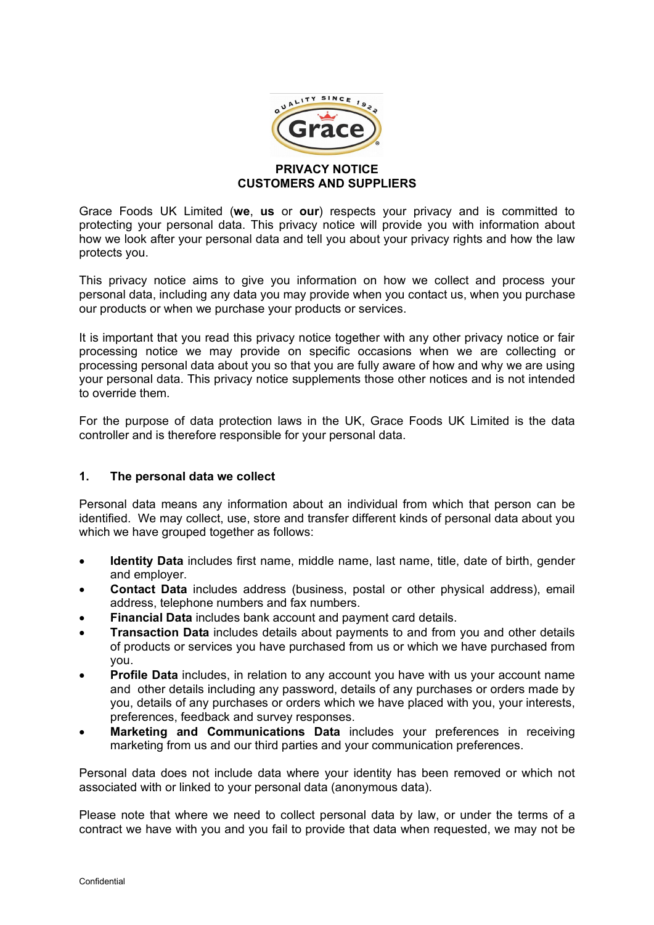

# **CUSTOMERS AND SUPPLIERS**

Grace Foods UK Limited (**we**, **us** or **our**) respects your privacy and is committed to protecting your personal data. This privacy notice will provide you with information about how we look after your personal data and tell you about your privacy rights and how the law protects you.

This privacy notice aims to give you information on how we collect and process your personal data, including any data you may provide when you contact us, when you purchase our products or when we purchase your products or services.

It is important that you read this privacy notice together with any other privacy notice or fair processing notice we may provide on specific occasions when we are collecting or processing personal data about you so that you are fully aware of how and why we are using your personal data. This privacy notice supplements those other notices and is not intended to override them.

For the purpose of data protection laws in the UK, Grace Foods UK Limited is the data controller and is therefore responsible for your personal data.

### **1. The personal data we collect**

Personal data means any information about an individual from which that person can be identified. We may collect, use, store and transfer different kinds of personal data about you which we have grouped together as follows:

- **Identity Data** includes first name, middle name, last name, title, date of birth, gender and employer.
- **Contact Data** includes address (business, postal or other physical address), email address, telephone numbers and fax numbers.
- **Financial Data** includes bank account and payment card details.
- **Transaction Data** includes details about payments to and from you and other details of products or services you have purchased from us or which we have purchased from you.
- **Profile Data** includes, in relation to any account you have with us your account name and other details including any password, details of any purchases or orders made by you, details of any purchases or orders which we have placed with you, your interests, preferences, feedback and survey responses.
- **Marketing and Communications Data** includes your preferences in receiving marketing from us and our third parties and your communication preferences.

Personal data does not include data where your identity has been removed or which not associated with or linked to your personal data (anonymous data).

Please note that where we need to collect personal data by law, or under the terms of a contract we have with you and you fail to provide that data when requested, we may not be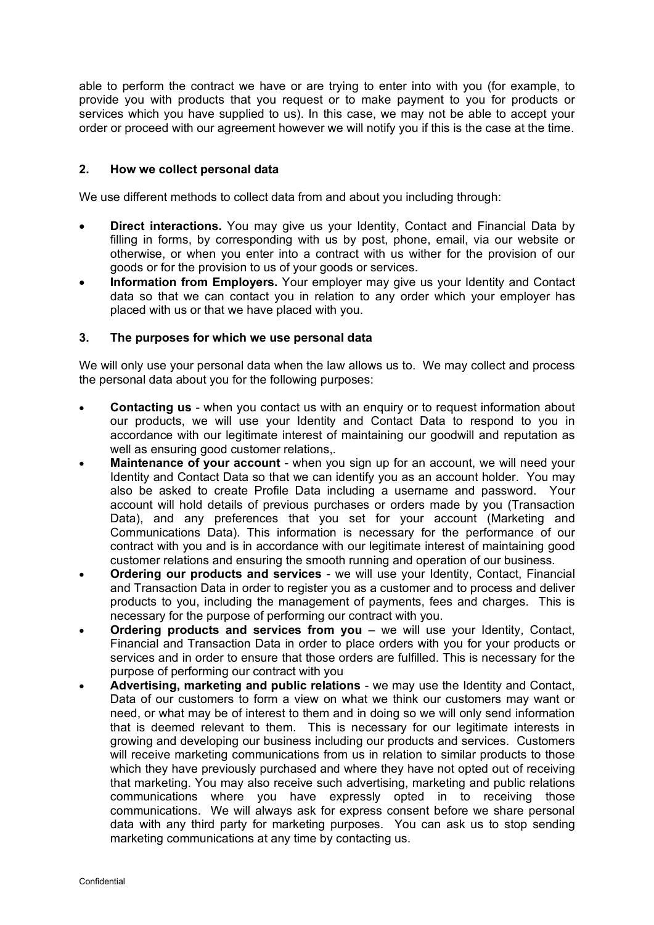able to perform the contract we have or are trying to enter into with you (for example, to provide you with products that you request or to make payment to you for products or services which you have supplied to us). In this case, we may not be able to accept your order or proceed with our agreement however we will notify you if this is the case at the time.

### **2. How we collect personal data**

We use different methods to collect data from and about you including through:

- **Direct interactions.** You may give us your Identity, Contact and Financial Data by filling in forms, by corresponding with us by post, phone, email, via our website or otherwise, or when you enter into a contract with us wither for the provision of our goods or for the provision to us of your goods or services.
- **Information from Employers.** Your employer may give us your Identity and Contact data so that we can contact you in relation to any order which your employer has placed with us or that we have placed with you.

### **3. The purposes for which we use personal data**

We will only use your personal data when the law allows us to. We may collect and process the personal data about you for the following purposes:

- **Contacting us** when you contact us with an enquiry or to request information about our products, we will use your Identity and Contact Data to respond to you in accordance with our legitimate interest of maintaining our goodwill and reputation as well as ensuring good customer relations,.
- **Maintenance of your account** when you sign up for an account, we will need your Identity and Contact Data so that we can identify you as an account holder. You may also be asked to create Profile Data including a username and password. Your account will hold details of previous purchases or orders made by you (Transaction Data), and any preferences that you set for your account (Marketing and Communications Data). This information is necessary for the performance of our contract with you and is in accordance with our legitimate interest of maintaining good customer relations and ensuring the smooth running and operation of our business.
- **Ordering our products and services**  we will use your Identity, Contact, Financial and Transaction Data in order to register you as a customer and to process and deliver products to you, including the management of payments, fees and charges. This is necessary for the purpose of performing our contract with you.
- **Ordering products and services from you** we will use your Identity, Contact, Financial and Transaction Data in order to place orders with you for your products or services and in order to ensure that those orders are fulfilled. This is necessary for the purpose of performing our contract with you
- **Advertising, marketing and public relations** we may use the Identity and Contact, Data of our customers to form a view on what we think our customers may want or need, or what may be of interest to them and in doing so we will only send information that is deemed relevant to them. This is necessary for our legitimate interests in growing and developing our business including our products and services. Customers will receive marketing communications from us in relation to similar products to those which they have previously purchased and where they have not opted out of receiving that marketing. You may also receive such advertising, marketing and public relations communications where you have expressly opted in to receiving those communications. We will always ask for express consent before we share personal data with any third party for marketing purposes. You can ask us to stop sending marketing communications at any time by contacting us.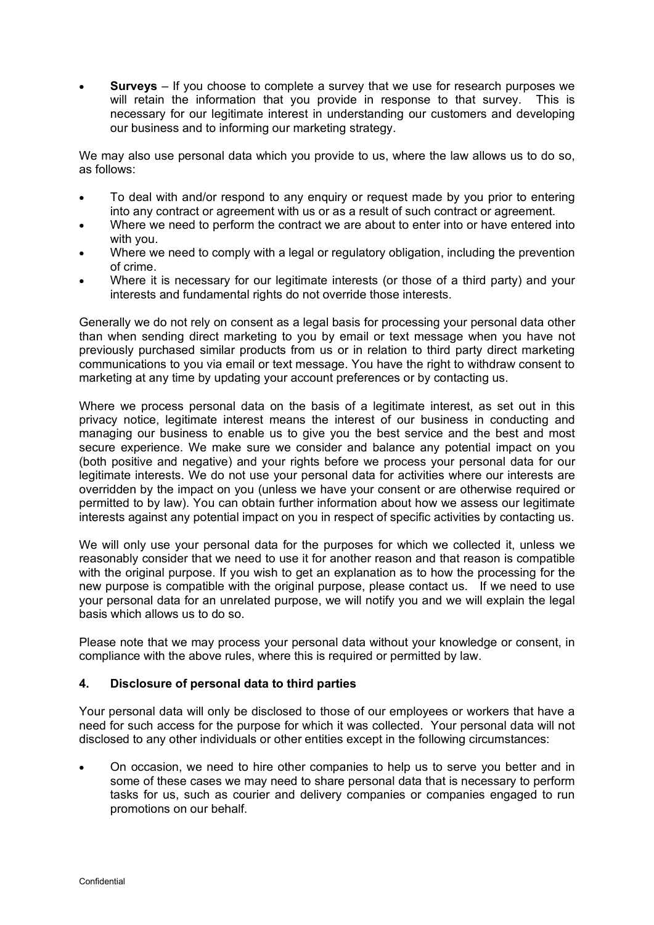• **Surveys** – If you choose to complete a survey that we use for research purposes we will retain the information that you provide in response to that survey. This is necessary for our legitimate interest in understanding our customers and developing our business and to informing our marketing strategy.

We may also use personal data which you provide to us, where the law allows us to do so, as follows:

- To deal with and/or respond to any enquiry or request made by you prior to entering into any contract or agreement with us or as a result of such contract or agreement.
- Where we need to perform the contract we are about to enter into or have entered into with you.
- Where we need to comply with a legal or regulatory obligation, including the prevention of crime.
- Where it is necessary for our legitimate interests (or those of a third party) and your interests and fundamental rights do not override those interests.

Generally we do not rely on consent as a legal basis for processing your personal data other than when sending direct marketing to you by email or text message when you have not previously purchased similar products from us or in relation to third party direct marketing communications to you via email or text message. You have the right to withdraw consent to marketing at any time by updating your account preferences or by contacting us.

Where we process personal data on the basis of a legitimate interest, as set out in this privacy notice, legitimate interest means the interest of our business in conducting and managing our business to enable us to give you the best service and the best and most secure experience. We make sure we consider and balance any potential impact on you (both positive and negative) and your rights before we process your personal data for our legitimate interests. We do not use your personal data for activities where our interests are overridden by the impact on you (unless we have your consent or are otherwise required or permitted to by law). You can obtain further information about how we assess our legitimate interests against any potential impact on you in respect of specific activities by contacting us.

We will only use your personal data for the purposes for which we collected it, unless we reasonably consider that we need to use it for another reason and that reason is compatible with the original purpose. If you wish to get an explanation as to how the processing for the new purpose is compatible with the original purpose, please contact us. If we need to use your personal data for an unrelated purpose, we will notify you and we will explain the legal basis which allows us to do so.

Please note that we may process your personal data without your knowledge or consent, in compliance with the above rules, where this is required or permitted by law.

### **4. Disclosure of personal data to third parties**

Your personal data will only be disclosed to those of our employees or workers that have a need for such access for the purpose for which it was collected. Your personal data will not disclosed to any other individuals or other entities except in the following circumstances:

• On occasion, we need to hire other companies to help us to serve you better and in some of these cases we may need to share personal data that is necessary to perform tasks for us, such as courier and delivery companies or companies engaged to run promotions on our behalf.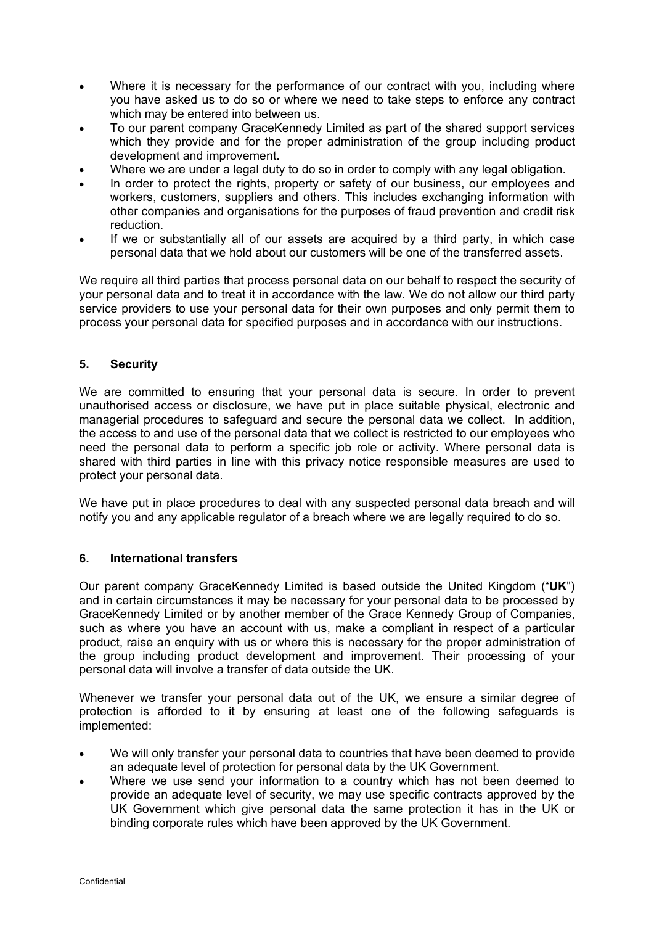- Where it is necessary for the performance of our contract with you, including where you have asked us to do so or where we need to take steps to enforce any contract which may be entered into between us.
- To our parent company GraceKennedy Limited as part of the shared support services which they provide and for the proper administration of the group including product development and improvement.
- Where we are under a legal duty to do so in order to comply with any legal obligation.
- In order to protect the rights, property or safety of our business, our employees and workers, customers, suppliers and others. This includes exchanging information with other companies and organisations for the purposes of fraud prevention and credit risk reduction.
- If we or substantially all of our assets are acquired by a third party, in which case personal data that we hold about our customers will be one of the transferred assets.

We require all third parties that process personal data on our behalf to respect the security of your personal data and to treat it in accordance with the law. We do not allow our third party service providers to use your personal data for their own purposes and only permit them to process your personal data for specified purposes and in accordance with our instructions.

## **5. Security**

We are committed to ensuring that your personal data is secure. In order to prevent unauthorised access or disclosure, we have put in place suitable physical, electronic and managerial procedures to safeguard and secure the personal data we collect. In addition, the access to and use of the personal data that we collect is restricted to our employees who need the personal data to perform a specific job role or activity. Where personal data is shared with third parties in line with this privacy notice responsible measures are used to protect your personal data.

We have put in place procedures to deal with any suspected personal data breach and will notify you and any applicable regulator of a breach where we are legally required to do so.

### **6. International transfers**

Our parent company GraceKennedy Limited is based outside the United Kingdom ("**UK**") and in certain circumstances it may be necessary for your personal data to be processed by GraceKennedy Limited or by another member of the Grace Kennedy Group of Companies, such as where you have an account with us, make a compliant in respect of a particular product, raise an enquiry with us or where this is necessary for the proper administration of the group including product development and improvement. Their processing of your personal data will involve a transfer of data outside the UK.

Whenever we transfer your personal data out of the UK, we ensure a similar degree of protection is afforded to it by ensuring at least one of the following safeguards is implemented:

- We will only transfer your personal data to countries that have been deemed to provide an adequate level of protection for personal data by the UK Government.
- Where we use send your information to a country which has not been deemed to provide an adequate level of security, we may use specific contracts approved by the UK Government which give personal data the same protection it has in the UK or binding corporate rules which have been approved by the UK Government.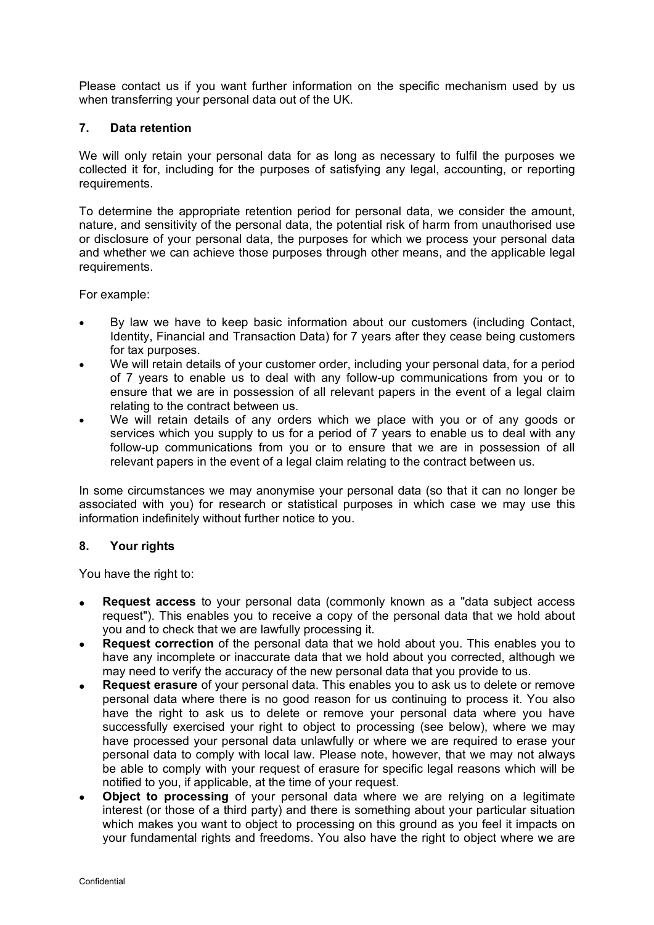Please contact us if you want further information on the specific mechanism used by us when transferring your personal data out of the UK.

### **7. Data retention**

We will only retain your personal data for as long as necessary to fulfil the purposes we collected it for, including for the purposes of satisfying any legal, accounting, or reporting requirements.

To determine the appropriate retention period for personal data, we consider the amount, nature, and sensitivity of the personal data, the potential risk of harm from unauthorised use or disclosure of your personal data, the purposes for which we process your personal data and whether we can achieve those purposes through other means, and the applicable legal requirements.

For example:

- By law we have to keep basic information about our customers (including Contact, Identity, Financial and Transaction Data) for 7 years after they cease being customers for tax purposes.
- We will retain details of your customer order, including your personal data, for a period of 7 years to enable us to deal with any follow-up communications from you or to ensure that we are in possession of all relevant papers in the event of a legal claim relating to the contract between us.
- We will retain details of any orders which we place with you or of any goods or services which you supply to us for a period of 7 years to enable us to deal with any follow-up communications from you or to ensure that we are in possession of all relevant papers in the event of a legal claim relating to the contract between us.

In some circumstances we may anonymise your personal data (so that it can no longer be associated with you) for research or statistical purposes in which case we may use this information indefinitely without further notice to you.

### **8. Your rights**

You have the right to:

- **Request access** to your personal data (commonly known as a "data subject access request"). This enables you to receive a copy of the personal data that we hold about you and to check that we are lawfully processing it.
- **Request correction** of the personal data that we hold about you. This enables you to have any incomplete or inaccurate data that we hold about you corrected, although we may need to verify the accuracy of the new personal data that you provide to us.
- **Request erasure** of your personal data. This enables you to ask us to delete or remove personal data where there is no good reason for us continuing to process it. You also have the right to ask us to delete or remove your personal data where you have successfully exercised your right to object to processing (see below), where we may have processed your personal data unlawfully or where we are required to erase your personal data to comply with local law. Please note, however, that we may not always be able to comply with your request of erasure for specific legal reasons which will be notified to you, if applicable, at the time of your request.
- **Object to processing** of your personal data where we are relying on a legitimate interest (or those of a third party) and there is something about your particular situation which makes you want to object to processing on this ground as you feel it impacts on your fundamental rights and freedoms. You also have the right to object where we are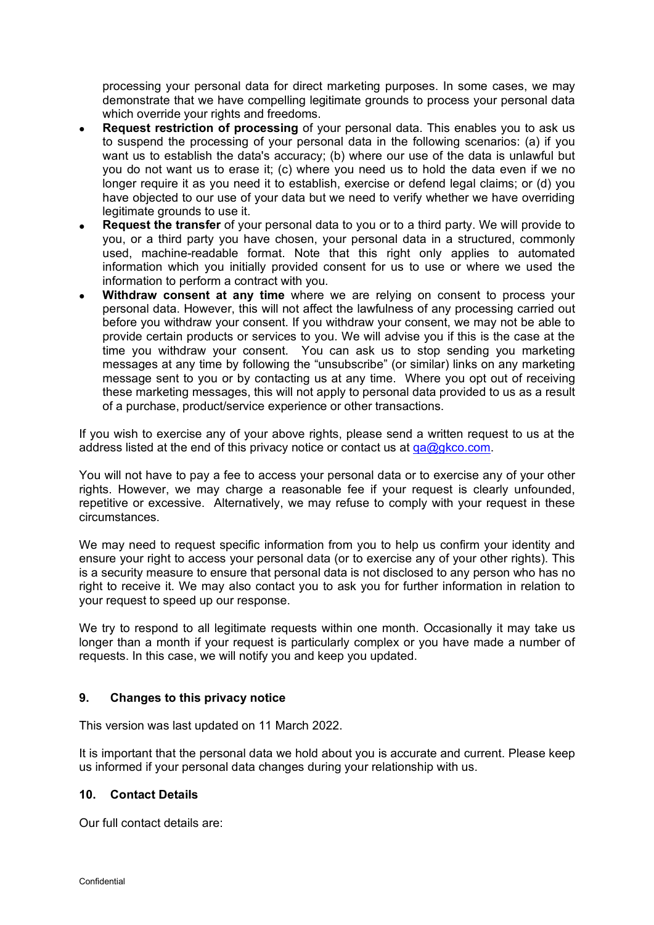processing your personal data for direct marketing purposes. In some cases, we may demonstrate that we have compelling legitimate grounds to process your personal data which override your rights and freedoms.

- **Request restriction of processing** of your personal data. This enables you to ask us to suspend the processing of your personal data in the following scenarios: (a) if you want us to establish the data's accuracy; (b) where our use of the data is unlawful but you do not want us to erase it; (c) where you need us to hold the data even if we no longer require it as you need it to establish, exercise or defend legal claims; or (d) you have objected to our use of your data but we need to verify whether we have overriding legitimate grounds to use it.
- **Request the transfer** of your personal data to you or to a third party. We will provide to you, or a third party you have chosen, your personal data in a structured, commonly used, machine-readable format. Note that this right only applies to automated information which you initially provided consent for us to use or where we used the information to perform a contract with you.
- **Withdraw consent at any time** where we are relying on consent to process your personal data. However, this will not affect the lawfulness of any processing carried out before you withdraw your consent. If you withdraw your consent, we may not be able to provide certain products or services to you. We will advise you if this is the case at the time you withdraw your consent. You can ask us to stop sending you marketing messages at any time by following the "unsubscribe" (or similar) links on any marketing message sent to you or by contacting us at any time. Where you opt out of receiving these marketing messages, this will not apply to personal data provided to us as a result of a purchase, product/service experience or other transactions.

If you wish to exercise any of your above rights, please send a written request to us at the address listed at the end of this privacy notice or contact us at  $qa\ddot{a}q\dot{a}$ 

You will not have to pay a fee to access your personal data or to exercise any of your other rights. However, we may charge a reasonable fee if your request is clearly unfounded, repetitive or excessive. Alternatively, we may refuse to comply with your request in these circumstances.

We may need to request specific information from you to help us confirm your identity and ensure your right to access your personal data (or to exercise any of your other rights). This is a security measure to ensure that personal data is not disclosed to any person who has no right to receive it. We may also contact you to ask you for further information in relation to your request to speed up our response.

We try to respond to all legitimate requests within one month. Occasionally it may take us longer than a month if your request is particularly complex or you have made a number of requests. In this case, we will notify you and keep you updated.

### **9. Changes to this privacy notice**

This version was last updated on 11 March 2022.

It is important that the personal data we hold about you is accurate and current. Please keep us informed if your personal data changes during your relationship with us.

## **10. Contact Details**

Our full contact details are: